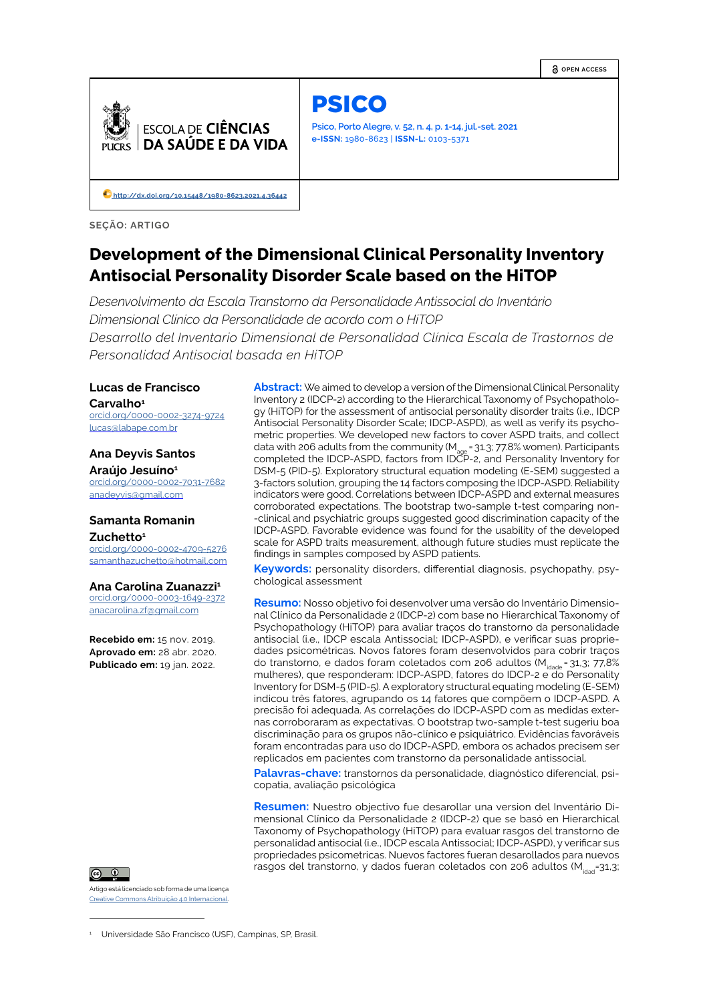**OPEN ACCESS**



PSICO

**Psico, Porto Alegre, v. 52, n. 4, p. 1-14, jul.-set. 2021 e-ISSN:** 1980-8623 | **ISSN-L:** 0103-5371

**<http://dx.doi.org/10.15448/1980-8623.2021.4.36442>**

**SEÇÃO: ARTIGO**

# **Development of the Dimensional Clinical Personality Inventory Antisocial Personality Disorder Scale based on the HiTOP**

*Desenvolvimento da Escala Transtorno da Personalidade Antissocial do Inventário Dimensional Clínico da Personalidade de acordo com o HiTOP Desarrollo del Inventario Dimensional de Personalidad Clínica Escala de Trastornos de Personalidad Antisocial basada en HiTOP*

## **Lucas de Francisco**  Carvalho<sup>1</sup>

[orcid.org/0000-0002-3274-9724](http://orcid.org/orcid.org/0000-0002-3274-9724
) lucas@labape.com.br

## **Ana Deyvis Santos Araújo Jesuíno1**

[orcid.org/](http://orcid.org/0000-0002-7031-7682)0000-0002-7031-7682 anadeyvis@gmail.com

## **Samanta Romanin Zuchetto1**

[orcid.org/](http://orcid.org/0000-0002-4709-5276
)0000-0002-4709-5276 samanthazuchetto@hotmail.com

### **Ana Carolina Zuanazzi<sup>1</sup>**

[orcid.org/0000-0003-1649-2372](http://orcid.org/0000-0003-1649-2372) anacarolina.zf@gmail.com

**Recebido em:** 15 nov. 2019. **Aprovado em:** 28 abr. 2020. **Publicado em:** 19 jan. 2022.



Artigo está licenciado sob forma de uma licença Creative Commons Atribuição 4.0 Internacional.

**Abstract:** We aimed to develop a version of the Dimensional Clinical Personality Inventory 2 (IDCP-2) according to the Hierarchical Taxonomy of Psychopathology (HiTOP) for the assessment of antisocial personality disorder traits (i.e., IDCP Antisocial Personality Disorder Scale; IDCP-ASPD), as well as verify its psychometric properties. We developed new factors to cover ASPD traits, and collect data with 206 adults from the community (M<sub>age</sub> = 31.3; 77.8% women). Participants<br>completed the IDCP-ASPD, factors from IDCP-2, and Personality Inventory for DSM-5 (PID-5). Exploratory structural equation modeling (E-SEM) suggested a 3-factors solution, grouping the 14 factors composing the IDCP-ASPD. Reliability indicators were good. Correlations between IDCP-ASPD and external measures corroborated expectations. The bootstrap two-sample t-test comparing non- -clinical and psychiatric groups suggested good discrimination capacity of the IDCP-ASPD. Favorable evidence was found for the usability of the developed scale for ASPD traits measurement, although future studies must replicate the findings in samples composed by ASPD patients.

**Keywords:** personality disorders, differential diagnosis, psychopathy, psychological assessment

**Resumo:** Nosso objetivo foi desenvolver uma versão do Inventário Dimensional Clínico da Personalidade 2 (IDCP-2) com base no Hierarchical Taxonomy of Psychopathology (HiTOP) para avaliar traços do transtorno da personalidade antisocial (i.e., IDCP escala Antissocial; IDCP-ASPD), e verificar suas propriedades psicométricas. Novos fatores foram desenvolvidos para cobrir traços do transtorno, e dados foram coletados com 206 adultos ( $M<sub>ideale</sub> = 31,3$ ; 77,8% mulheres), que responderam: IDCP-ASPD, fatores do IDCP-2 e do Personality Inventory for DSM-5 (PID-5). A exploratory structural equating modeling (E-SEM) indicou três fatores, agrupando os 14 fatores que compõem o IDCP-ASPD. A precisão foi adequada. As correlações do IDCP-ASPD com as medidas externas corroboraram as expectativas. O bootstrap two-sample t-test sugeriu boa discriminação para os grupos não-clínico e psiquiátrico. Evidências favoráveis foram encontradas para uso do IDCP-ASPD, embora os achados precisem ser replicados em pacientes com transtorno da personalidade antissocial.

**Palavras-chave:** transtornos da personalidade, diagnóstico diferencial, psicopatia, avaliação psicológica

**Resumen:** Nuestro objectivo fue desarollar una version del Inventário Dimensional Clínico da Personalidade 2 (IDCP-2) que se basó en Hierarchical Taxonomy of Psychopathology (HiTOP) para evaluar rasgos del transtorno de personalidad antisocial (i.e., IDCP escala Antissocial; IDCP-ASPD), y verificar sus propriedades psicometricas. Nuevos factores fueran desarollados para nuevos rasgos del transtorno, y dados fueran coletados con 206 adultos ( $M_{dust}$ =31,3;

<sup>1</sup> Universidade São Francisco (USF), Campinas, SP, Brasil.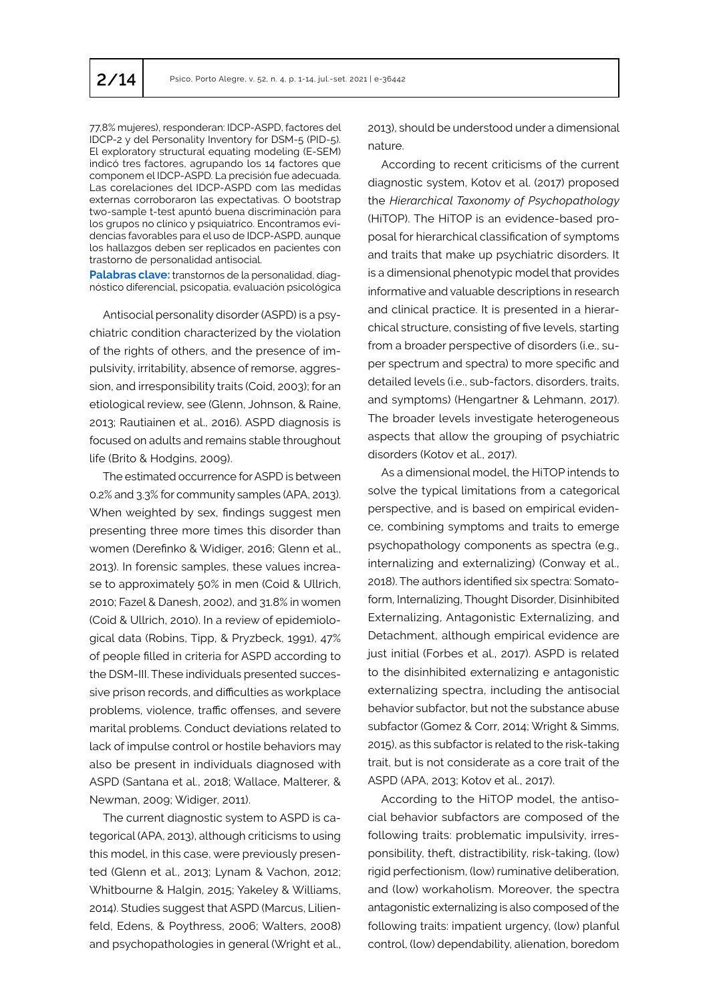77,8% mujeres), responderan: IDCP-ASPD, factores del IDCP-2 y del Personality Inventory for DSM-5 (PID-5). El exploratory structural equating modeling (E-SEM) indicó tres factores, agrupando los 14 factores que componem el IDCP-ASPD. La precisión fue adecuada. Las corelaciones del IDCP-ASPD com las medidas externas corroboraron las expectativas. O bootstrap two-sample t-test apuntó buena discriminación para los grupos no clínico y psiquiatríco. Encontramos evidencias favorables para el uso de IDCP-ASPD, aunque los hallazgos deben ser replicados en pacientes con trastorno de personalidad antisocial.

**Palabras clave:** transtornos de la personalidad, diagnóstico diferencial, psicopatia, evaluación psicológica

Antisocial personality disorder (ASPD) is a psychiatric condition characterized by the violation of the rights of others, and the presence of impulsivity, irritability, absence of remorse, aggression, and irresponsibility traits (Coid, 2003); for an etiological review, see (Glenn, Johnson, & Raine, 2013; Rautiainen et al., 2016). ASPD diagnosis is focused on adults and remains stable throughout life (Brito & Hodgins, 2009).

The estimated occurrence for ASPD is between 0.2% and 3.3% for community samples (APA, 2013). When weighted by sex, findings suggest men presenting three more times this disorder than women (Derefinko & Widiger, 2016; Glenn et al., 2013). In forensic samples, these values increase to approximately 50% in men (Coid & Ullrich, 2010; Fazel & Danesh, 2002), and 31.8% in women (Coid & Ullrich, 2010). In a review of epidemiological data (Robins, Tipp, & Pryzbeck, 1991), 47% of people filled in criteria for ASPD according to the DSM-III. These individuals presented successive prison records, and difficulties as workplace problems, violence, traffic offenses, and severe marital problems. Conduct deviations related to lack of impulse control or hostile behaviors may also be present in individuals diagnosed with ASPD (Santana et al., 2018; Wallace, Malterer, & Newman, 2009; Widiger, 2011).

The current diagnostic system to ASPD is categorical (APA, 2013), although criticisms to using this model, in this case, were previously presented (Glenn et al., 2013; Lynam & Vachon, 2012; Whitbourne & Halgin, 2015; Yakeley & Williams, 2014). Studies suggest that ASPD (Marcus, Lilienfeld, Edens, & Poythress, 2006; Walters, 2008) and psychopathologies in general (Wright et al., 2013), should be understood under a dimensional nature.

According to recent criticisms of the current diagnostic system, Kotov et al. (2017) proposed the *Hierarchical Taxonomy of Psychopathology* (HiTOP). The HiTOP is an evidence-based proposal for hierarchical classification of symptoms and traits that make up psychiatric disorders. It is a dimensional phenotypic model that provides informative and valuable descriptions in research and clinical practice. It is presented in a hierarchical structure, consisting of five levels, starting from a broader perspective of disorders (i.e., super spectrum and spectra) to more specific and detailed levels (i.e., sub-factors, disorders, traits, and symptoms) (Hengartner & Lehmann, 2017). The broader levels investigate heterogeneous aspects that allow the grouping of psychiatric disorders (Kotov et al., 2017).

As a dimensional model, the HiTOP intends to solve the typical limitations from a categorical perspective, and is based on empirical evidence, combining symptoms and traits to emerge psychopathology components as spectra (e.g., internalizing and externalizing) (Conway et al., 2018). The authors identified six spectra: Somatoform, Internalizing, Thought Disorder, Disinhibited Externalizing, Antagonistic Externalizing, and Detachment, although empirical evidence are just initial (Forbes et al., 2017). ASPD is related to the disinhibited externalizing e antagonistic externalizing spectra, including the antisocial behavior subfactor, but not the substance abuse subfactor (Gomez & Corr, 2014; Wright & Simms, 2015), as this subfactor is related to the risk-taking trait, but is not considerate as a core trait of the ASPD (APA, 2013; Kotov et al., 2017).

According to the HiTOP model, the antisocial behavior subfactors are composed of the following traits: problematic impulsivity, irresponsibility, theft, distractibility, risk-taking, (low) rigid perfectionism, (low) ruminative deliberation, and (low) workaholism. Moreover, the spectra antagonistic externalizing is also composed of the following traits: impatient urgency, (low) planful control, (low) dependability, alienation, boredom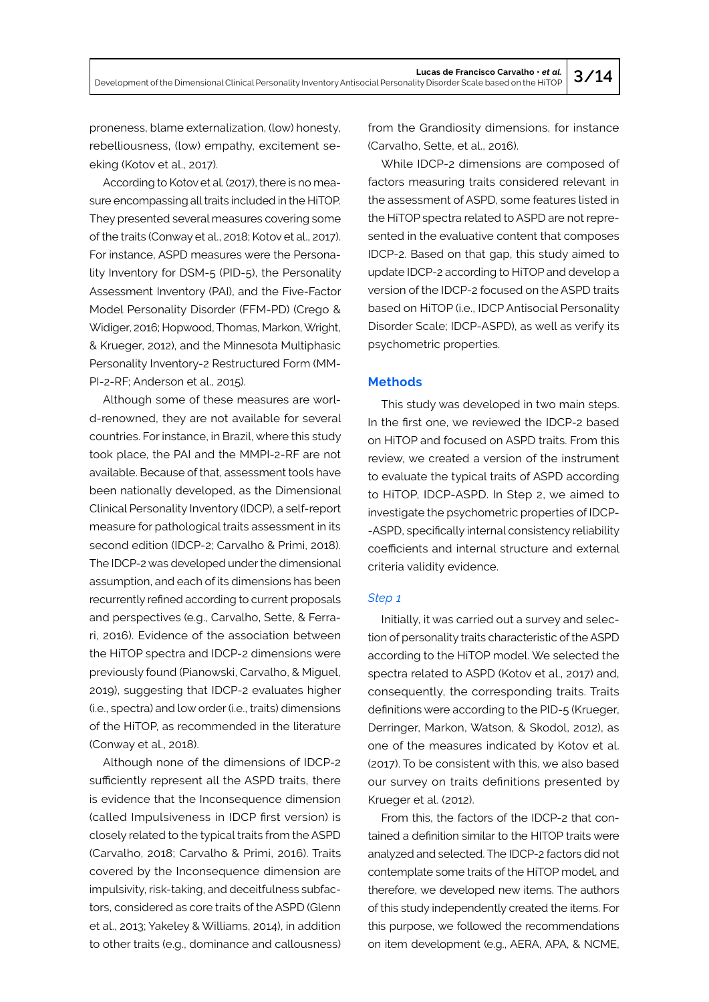Development of the Dimensional Clinical Personality Inventory Antisocial Personality Disorder Scale based on the HiTOP **3/14**

proneness, blame externalization, (low) honesty, rebelliousness, (low) empathy, excitement seeking (Kotov et al., 2017).

According to Kotov et al. (2017), there is no measure encompassing all traits included in the HiTOP. They presented several measures covering some of the traits (Conway et al., 2018; Kotov et al., 2017). For instance, ASPD measures were the Personality Inventory for DSM-5 (PID-5), the Personality Assessment Inventory (PAI), and the Five-Factor Model Personality Disorder (FFM-PD) (Crego & Widiger, 2016; Hopwood, Thomas, Markon, Wright, & Krueger, 2012), and the Minnesota Multiphasic Personality Inventory-2 Restructured Form (MM-PI-2-RF; Anderson et al., 2015).

Although some of these measures are world-renowned, they are not available for several countries. For instance, in Brazil, where this study took place, the PAI and the MMPI-2-RF are not available. Because of that, assessment tools have been nationally developed, as the Dimensional Clinical Personality Inventory (IDCP), a self-report measure for pathological traits assessment in its second edition (IDCP-2; Carvalho & Primi, 2018). The IDCP-2 was developed under the dimensional assumption, and each of its dimensions has been recurrently refined according to current proposals and perspectives (e.g., Carvalho, Sette, & Ferrari, 2016). Evidence of the association between the HiTOP spectra and IDCP-2 dimensions were previously found (Pianowski, Carvalho, & Miguel, 2019), suggesting that IDCP-2 evaluates higher (i.e., spectra) and low order (i.e., traits) dimensions of the HiTOP, as recommended in the literature (Conway et al., 2018).

Although none of the dimensions of IDCP-2 sufficiently represent all the ASPD traits, there is evidence that the Inconsequence dimension (called Impulsiveness in IDCP first version) is closely related to the typical traits from the ASPD (Carvalho, 2018; Carvalho & Primi, 2016). Traits covered by the Inconsequence dimension are impulsivity, risk-taking, and deceitfulness subfactors, considered as core traits of the ASPD (Glenn et al., 2013; Yakeley & Williams, 2014), in addition to other traits (e.g., dominance and callousness)

from the Grandiosity dimensions, for instance (Carvalho, Sette, et al., 2016).

While IDCP-2 dimensions are composed of factors measuring traits considered relevant in the assessment of ASPD, some features listed in the HiTOP spectra related to ASPD are not represented in the evaluative content that composes IDCP-2. Based on that gap, this study aimed to update IDCP-2 according to HiTOP and develop a version of the IDCP-2 focused on the ASPD traits based on HiTOP (i.e., IDCP Antisocial Personality Disorder Scale; IDCP-ASPD), as well as verify its psychometric properties.

## **Methods**

This study was developed in two main steps. In the first one, we reviewed the IDCP-2 based on HiTOP and focused on ASPD traits. From this review, we created a version of the instrument to evaluate the typical traits of ASPD according to HiTOP, IDCP-ASPD. In Step 2, we aimed to investigate the psychometric properties of IDCP- -ASPD, specifically internal consistency reliability coefficients and internal structure and external criteria validity evidence.

### *Step 1*

Initially, it was carried out a survey and selection of personality traits characteristic of the ASPD according to the HiTOP model. We selected the spectra related to ASPD (Kotov et al., 2017) and, consequently, the corresponding traits. Traits definitions were according to the PID-5 (Krueger, Derringer, Markon, Watson, & Skodol, 2012), as one of the measures indicated by Kotov et al. (2017). To be consistent with this, we also based our survey on traits definitions presented by Krueger et al. (2012).

From this, the factors of the IDCP-2 that contained a definition similar to the HITOP traits were analyzed and selected. The IDCP-2 factors did not contemplate some traits of the HiTOP model, and therefore, we developed new items. The authors of this study independently created the items. For this purpose, we followed the recommendations on item development (e.g., AERA, APA, & NCME,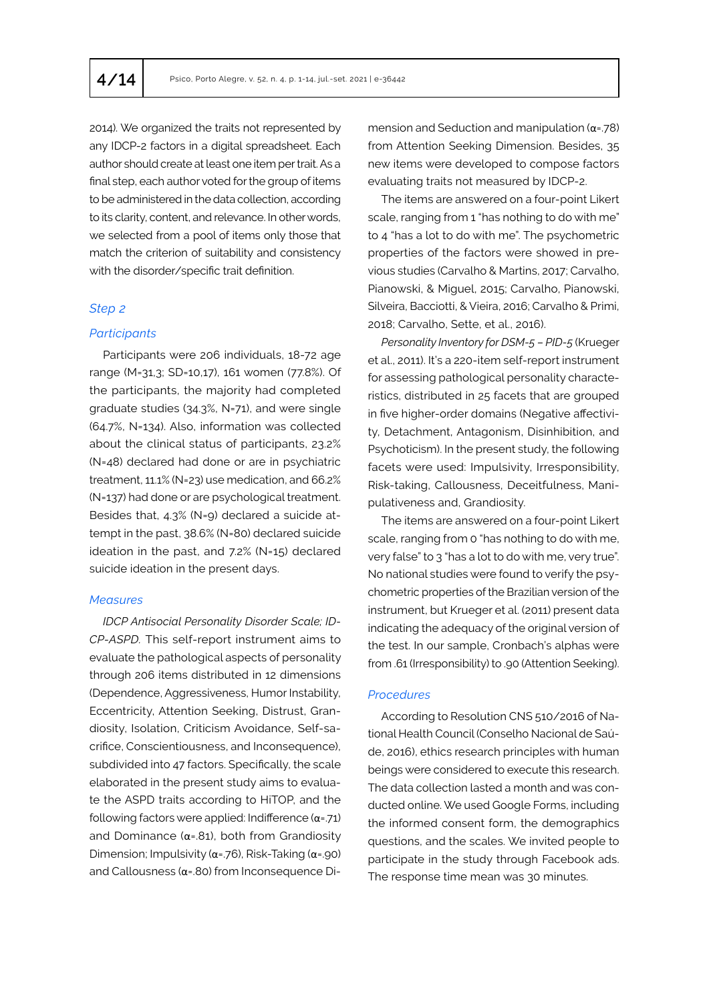2014). We organized the traits not represented by any IDCP-2 factors in a digital spreadsheet. Each author should create at least one item per trait. As a final step, each author voted for the group of items to be administered in the data collection, according to its clarity, content, and relevance. In other words, we selected from a pool of items only those that match the criterion of suitability and consistency with the disorder/specific trait definition.

## *Step 2*

### *Participants*

Participants were 206 individuals, 18-72 age range (M=31,3; SD=10,17), 161 women (77.8%). Of the participants, the majority had completed graduate studies (34.3%, N=71), and were single (64.7%, N=134). Also, information was collected about the clinical status of participants, 23.2% (N=48) declared had done or are in psychiatric treatment, 11.1% (N=23) use medication, and 66.2% (N=137) had done or are psychological treatment. Besides that, 4.3% (N=9) declared a suicide attempt in the past, 38.6% (N=80) declared suicide ideation in the past, and 7.2% (N=15) declared suicide ideation in the present days.

### *Measures*

*IDCP Antisocial Personality Disorder Scale; ID-CP-ASPD.* This self-report instrument aims to evaluate the pathological aspects of personality through 206 items distributed in 12 dimensions (Dependence, Aggressiveness, Humor Instability, Eccentricity, Attention Seeking, Distrust, Grandiosity, Isolation, Criticism Avoidance, Self-sacrifice, Conscientiousness, and Inconsequence), subdivided into 47 factors. Specifically, the scale elaborated in the present study aims to evaluate the ASPD traits according to HiTOP, and the following factors were applied: Indifference  $(\alpha = 71)$ and Dominance ( $\alpha$ =.81), both from Grandiosity Dimension; Impulsivity ( $\alpha$ =.76), Risk-Taking ( $\alpha$ =.90) and Callousness (α=.80) from Inconsequence Dimension and Seduction and manipulation ( $\alpha$ =.78) from Attention Seeking Dimension. Besides, 35 new items were developed to compose factors evaluating traits not measured by IDCP-2.

The items are answered on a four-point Likert scale, ranging from 1 "has nothing to do with me" to 4 "has a lot to do with me". The psychometric properties of the factors were showed in previous studies (Carvalho & Martins, 2017; Carvalho, Pianowski, & Miguel, 2015; Carvalho, Pianowski, Silveira, Bacciotti, & Vieira, 2016; Carvalho & Primi, 2018; Carvalho, Sette, et al., 2016).

*Personality Inventory for DSM-5 – PID-5* (Krueger et al., 2011). It's a 220-item self-report instrument for assessing pathological personality characteristics, distributed in 25 facets that are grouped in five higher-order domains (Negative affectivity, Detachment, Antagonism, Disinhibition, and Psychoticism). In the present study, the following facets were used: Impulsivity, Irresponsibility, Risk-taking, Callousness, Deceitfulness, Manipulativeness and, Grandiosity.

The items are answered on a four-point Likert scale, ranging from 0 "has nothing to do with me, very false" to 3 "has a lot to do with me, very true". No national studies were found to verify the psychometric properties of the Brazilian version of the instrument, but Krueger et al. (2011) present data indicating the adequacy of the original version of the test. In our sample, Cronbach's alphas were from .61 (Irresponsibility) to .90 (Attention Seeking).

### *Procedures*

According to Resolution CNS 510/2016 of National Health Council (Conselho Nacional de Saúde, 2016), ethics research principles with human beings were considered to execute this research. The data collection lasted a month and was conducted online. We used Google Forms, including the informed consent form, the demographics questions, and the scales. We invited people to participate in the study through Facebook ads. The response time mean was 30 minutes.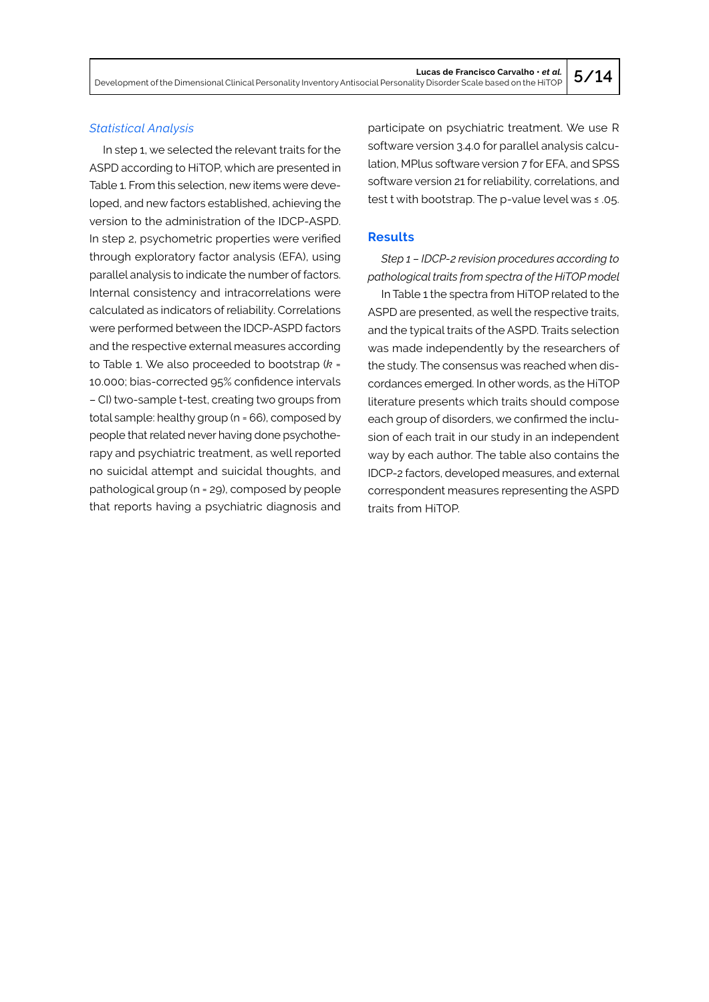## *Statistical Analysis*

In step 1, we selected the relevant traits for the ASPD according to HiTOP, which are presented in Table 1. From this selection, new items were developed, and new factors established, achieving the version to the administration of the IDCP-ASPD. In step 2, psychometric properties were verified through exploratory factor analysis (EFA), using parallel analysis to indicate the number of factors. Internal consistency and intracorrelations were calculated as indicators of reliability. Correlations were performed between the IDCP-ASPD factors and the respective external measures according to Table 1. We also proceeded to bootstrap (*k* = 10.000; bias-corrected 95% confidence intervals – CI) two-sample t-test, creating two groups from total sample: healthy group (n = 66), composed by people that related never having done psychotherapy and psychiatric treatment, as well reported no suicidal attempt and suicidal thoughts, and pathological group (n = 29), composed by people that reports having a psychiatric diagnosis and

participate on psychiatric treatment. We use R software version 3.4.0 for parallel analysis calculation, MPlus software version 7 for EFA, and SPSS software version 21 for reliability, correlations, and test t with bootstrap. The p-value level was ≤ .05.

## **Results**

*Step 1 – IDCP-2 revision procedures according to pathological traits from spectra of the HiTOP model*

In Table 1 the spectra from HiTOP related to the ASPD are presented, as well the respective traits, and the typical traits of the ASPD. Traits selection was made independently by the researchers of the study. The consensus was reached when discordances emerged. In other words, as the HiTOP literature presents which traits should compose each group of disorders, we confirmed the inclusion of each trait in our study in an independent way by each author. The table also contains the IDCP-2 factors, developed measures, and external correspondent measures representing the ASPD traits from HiTOP.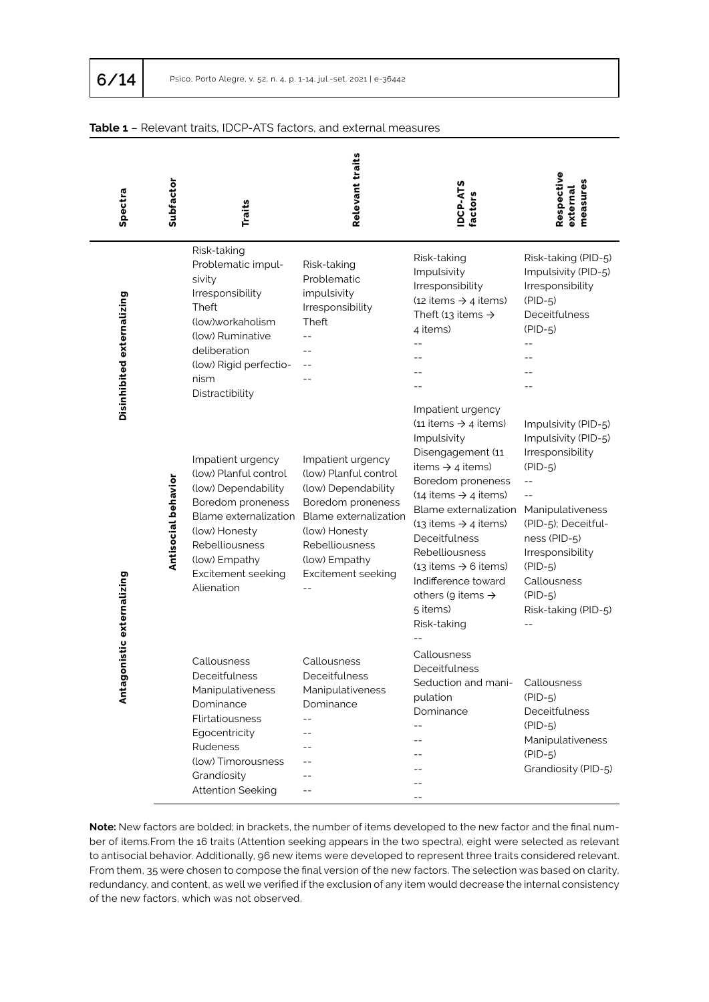| Spectra                    | Subfactor           | <b>Traits</b>                                                                                                                                                                                                                                                                   | <b>Relevant traits</b>                                                                                                                                                  | <b>IDCP-ATS</b><br><b>Factors</b>                                                                                                                                                                                                                                                                                                              | Respective<br>measures<br>external                                                                                                                                                                                  |
|----------------------------|---------------------|---------------------------------------------------------------------------------------------------------------------------------------------------------------------------------------------------------------------------------------------------------------------------------|-------------------------------------------------------------------------------------------------------------------------------------------------------------------------|------------------------------------------------------------------------------------------------------------------------------------------------------------------------------------------------------------------------------------------------------------------------------------------------------------------------------------------------|---------------------------------------------------------------------------------------------------------------------------------------------------------------------------------------------------------------------|
| Disinhibited externalizing |                     | Risk-taking<br>Problematic impul-<br>sivity<br>Irresponsibility<br>Theft<br>(low)workaholism<br>(low) Ruminative<br>deliberation<br>(low) Rigid perfectio-<br>nism<br>Distractibility<br>Impatient urgency<br>(low) Planful control<br>(low) Dependability<br>Boredom proneness | Risk-taking<br>Problematic<br>impulsivity<br>Irresponsibility<br>Theft<br>$-$<br>Impatient urgency<br>(low) Planful control<br>(low) Dependability<br>Boredom proneness | Risk-taking<br>Impulsivity<br>Irresponsibility<br>(12 items $\rightarrow$ 4 items)<br>Theft (13 items $\rightarrow$<br>4 items)<br>Impatient urgency<br>(11 items $\rightarrow$ 4 items)<br>Impulsivity<br>Disengagement (11<br>items $\rightarrow$ 4 items)<br>Boredom proneness<br>(14 items $\rightarrow$ 4 items)<br>Blame externalization | Risk-taking (PID-5)<br>Impulsivity (PID-5)<br>Irresponsibility<br>$(PID-5)$<br>Deceitfulness<br>$(PID-5)$<br>$-$<br>Impulsivity (PID-5)<br>Impulsivity (PID-5)<br>Irresponsibility<br>$(PID-5)$<br>Manipulativeness |
| gonistic externalizing     | Antisocial behavior | Blame externalization<br>(low) Honesty<br>Rebelliousness<br>(low) Empathy<br>Excitement seeking<br>Alienation                                                                                                                                                                   | Blame externalization<br>(low) Honesty<br>Rebelliousness<br>(low) Empathy<br>Excitement seeking                                                                         | (13 items $\rightarrow$ 4 items)<br>Deceitfulness<br>Rebelliousness<br>$(13$ items $\rightarrow$ 6 items)<br>Indifference toward<br>others (9 items $\rightarrow$<br>5 items)<br>Risk-taking                                                                                                                                                   | (PID-5); Deceitful-<br>ness (PID-5)<br>Irresponsibility<br>$(PID-5)$<br>Callousness<br>$(PID-5)$<br>Risk-taking (PID-5)                                                                                             |
| Ë                          |                     | Callousness<br>Deceitfulness<br>Manipulativeness<br>Dominance<br>Flirtatiousness<br>Egocentricity<br>Rudeness<br>(low) Timorousness<br>Grandiosity<br><b>Attention Seeking</b>                                                                                                  | Callousness<br>Deceitfulness<br>Manipulativeness<br>Dominance<br>$ -$                                                                                                   | Callousness<br>Deceitfulness<br>Seduction and mani- Callousness<br>pulation<br>Dominance                                                                                                                                                                                                                                                       | $(PID-5)$<br>Deceitfulness<br>$(PID-5)$<br>Manipulativeness<br>$(PID-5)$<br>Grandiosity (PID-5)                                                                                                                     |

## **Table 1** – Relevant traits, IDCP-ATS factors, and external measures

**Note:** New factors are bolded; in brackets, the number of items developed to the new factor and the final number of items.From the 16 traits (Attention seeking appears in the two spectra), eight were selected as relevant to antisocial behavior. Additionally, 96 new items were developed to represent three traits considered relevant. From them, 35 were chosen to compose the final version of the new factors. The selection was based on clarity, redundancy, and content, as well we verified if the exclusion of any item would decrease the internal consistency of the new factors, which was not observed.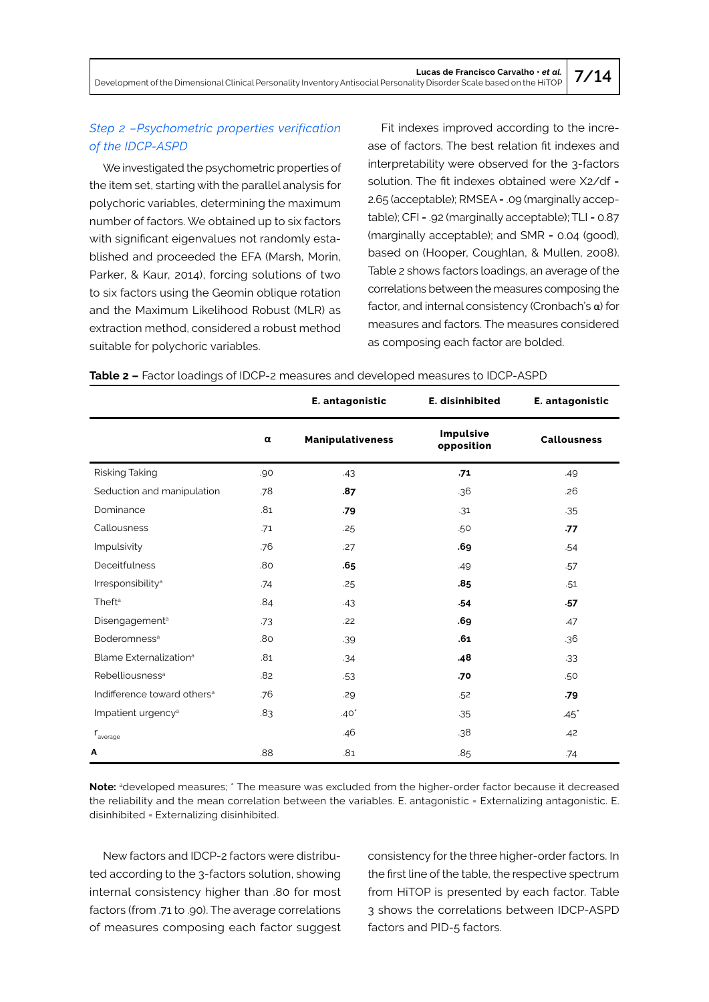Development of the Dimensional Clinical Personality Inventory Antisocial Personality Disorder Scale based on the HiTOP **7/14**

## *Step 2 –Psychometric properties verification of the IDCP-ASPD*

We investigated the psychometric properties of the item set, starting with the parallel analysis for polychoric variables, determining the maximum number of factors. We obtained up to six factors with significant eigenvalues not randomly established and proceeded the EFA (Marsh, Morin, Parker, & Kaur, 2014), forcing solutions of two to six factors using the Geomin oblique rotation and the Maximum Likelihood Robust (MLR) as extraction method, considered a robust method suitable for polychoric variables.

Fit indexes improved according to the increase of factors. The best relation fit indexes and interpretability were observed for the 3-factors solution. The fit indexes obtained were X2/df = 2.65 (acceptable); RMSEA = .09 (marginally acceptable); CFI = .92 (marginally acceptable); TLI = 0.87 (marginally acceptable); and SMR = 0.04 (good), based on (Hooper, Coughlan, & Mullen, 2008). Table 2 shows factors loadings, an average of the correlations between the measures composing the factor, and internal consistency (Cronbach's  $\alpha$ ) for measures and factors. The measures considered as composing each factor are bolded.

|                                         |     | E. antagonistic         | E. disinhibited         | E. antagonistic    |
|-----------------------------------------|-----|-------------------------|-------------------------|--------------------|
|                                         | α   | <b>Manipulativeness</b> | Impulsive<br>opposition | <b>Callousness</b> |
| Risking Taking                          | .90 | .43                     | .71                     | .49                |
| Seduction and manipulation              | .78 | .87                     | .36                     | .26                |
| Dominance                               | .81 | .79                     | .31                     | .35                |
| Callousness                             | .71 | .25                     | .50                     | .77                |
| Impulsivity                             | .76 | .27                     | .69                     | .54                |
| <b>Deceitfulness</b>                    | .80 | .65                     | .49                     | .57                |
| Irresponsibility <sup>a</sup>           | .74 | .25                     | .85                     | .51                |
| Theft <sup>a</sup>                      | .84 | .43                     | .54                     | .57                |
| Disengagement <sup>a</sup>              | .73 | .22                     | .69                     | .47                |
| Boderomness <sup>a</sup>                | .80 | .39                     | .61                     | .36                |
| Blame Externalization <sup>a</sup>      | .81 | .34                     | .48                     | $-33$              |
| Rebelliousness <sup>a</sup>             | .82 | $-53$                   | .70                     | .50                |
| Indifference toward others <sup>a</sup> | .76 | .29                     | .52                     | .79                |
| Impatient urgency <sup>a</sup>          | .83 | $.40*$                  | .35                     | $.45*$             |
| $\mathsf{r}_\mathsf{average}$           |     | .46                     | .38                     | .42                |
| A                                       | .88 | .81                     | .85                     | .74                |

**Table 2 –** Factor loadings of IDCP-2 measures and developed measures to IDCP-ASPD

Note: <sup>a</sup>developed measures; \* The measure was excluded from the higher-order factor because it decreased the reliability and the mean correlation between the variables. E. antagonistic = Externalizing antagonistic. E. disinhibited = Externalizing disinhibited.

New factors and IDCP-2 factors were distributed according to the 3-factors solution, showing internal consistency higher than .80 for most factors (from .71 to .90). The average correlations of measures composing each factor suggest consistency for the three higher-order factors. In the first line of the table, the respective spectrum from HiTOP is presented by each factor. Table 3 shows the correlations between IDCP-ASPD factors and PID-5 factors.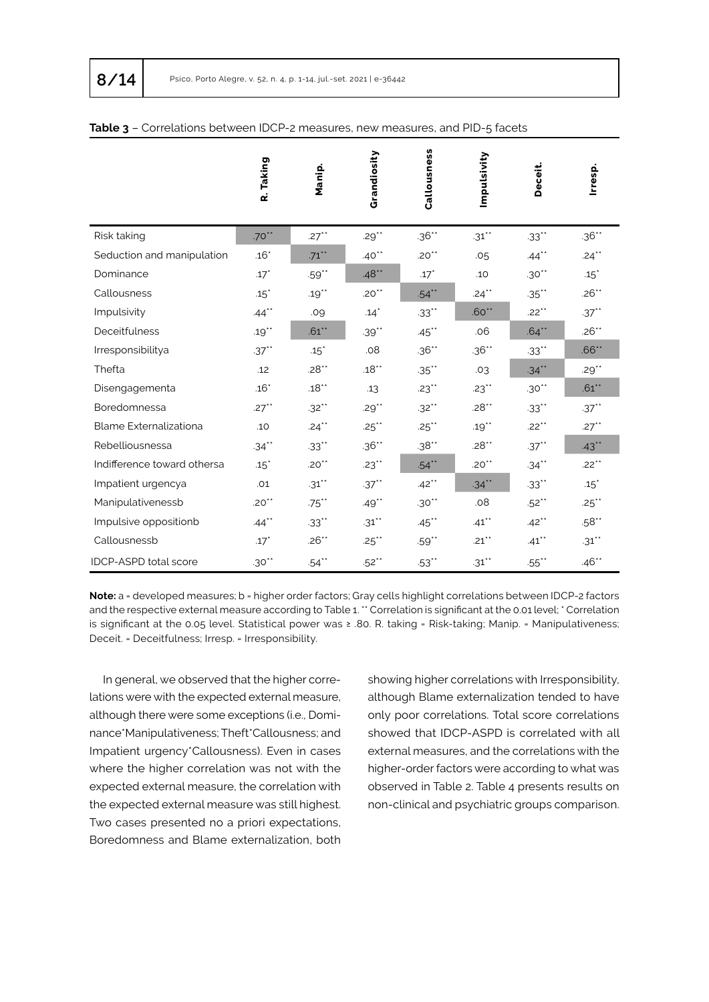|                              | R. Taking           | Manip.                  | Grandiosity         | Callousness         | Impulsivity         | Deceit.  | Irresp.            |
|------------------------------|---------------------|-------------------------|---------------------|---------------------|---------------------|----------|--------------------|
| Risk taking                  | $.70***$            | $.27**$                 | .29 $^{\star\star}$ | $.36**$             | $.31***$            | $.33***$ | $.36**$            |
| Seduction and manipulation   | $.16*$              | $.71***$                | .40 $*$             | $.20**$             | .05                 | $.44$ ** | $.24***$           |
| Dominance                    | $.17*$              | $.59$ $\rlap{^{\star}}$ | $.48**$             | $.17*$              | .10                 | $.30**$  | $.15$ <sup>*</sup> |
| Callousness                  | $.15$ <sup>*</sup>  | $.19**$                 | $.20**$             | $.54***$            | $.24$ **            | $.35***$ | $.26**$            |
| Impulsivity                  | $.44$ **            | .09                     | $.14$ <sup>*</sup>  | $.33***$            | $.60**$             | $.22***$ | $.37***$           |
| Deceitfulness                | $.19***$            | $.61**$                 | $.39**$             | $.45$ **            | .06                 | $.64***$ | $.26**$            |
| Irresponsibilitya            | $.37***$            | $.15$ <sup>*</sup>      | .08                 | $.36***$            | $.36**$             | $.33***$ | $.66**$            |
| Thefta                       | .12                 | $.28**$                 | $.18***$            | $.35***$            | .03                 | $.34***$ | $.29***$           |
| Disengagementa               | $.16*$              | $.18**$                 | .13                 | $.23$ <sup>**</sup> | $.23$ <sup>**</sup> | $.30***$ | $.61**$            |
| Boredomnessa                 | $.27$ <sup>**</sup> | $.32***$                | $.29***$            | $.32***$            | $.28**$             | $.33***$ | $.37***$           |
| Blame Externalizationa       | .10                 | $.24***$                | $.25$ **            | $.25***$            | .19 $^{\star\star}$ | $.22***$ | $.27***$           |
| Rebelliousnessa              | $.34***$            | $.33***$                | $.36**$             | $.38***$            | $.28**$             | $.37***$ | $.43***$           |
| Indifference toward othersa  | $.15$ <sup>*</sup>  | $.20**$                 | $.23***$            | $.54***$            | $.20**$             | $.34***$ | $.22***$           |
| Impatient urgencya           | .01                 | $.31***$                | $.37***$            | $.42***$            | $.34***$            | $.33***$ | .15                |
| Manipulativenessb            | $.20**$             | $.75$ **                | $.49**$             | $.30**$             | .08                 | $.52***$ | $.25$ **           |
| Impulsive oppositionb        | $.44$ **            | $.33$ **                | $.31$ **            | $.45$ **            | $.41$ **            | $.42***$ | $.58**$            |
| Callousnessb                 | $.17*$              | $.26**$                 | $.25$ **            | $.59**$             | $.21$ **            | $.41***$ | $.31***$           |
| <b>IDCP-ASPD total score</b> | $.30***$            | $.54$ **                | $.52***$            | $.53$ **            | $.31***$            | $.55$ ** | $.46**$            |

### **Table 3** – Correlations between IDCP-2 measures, new measures, and PID-5 facets

**Note:** a = developed measures; b = higher order factors; Gray cells highlight correlations between IDCP-2 factors and the respective external measure according to Table 1. " Correlation is significant at the 0.01 level; ' Correlation is significant at the 0.05 level. Statistical power was ≥ .80. R. taking = Risk-taking; Manip. = Manipulativeness; Deceit. = Deceitfulness; Irresp. = Irresponsibility.

In general, we observed that the higher correlations were with the expected external measure, although there were some exceptions (i.e., Dominance\*Manipulativeness; Theft\*Callousness; and Impatient urgency\*Callousness). Even in cases where the higher correlation was not with the expected external measure, the correlation with the expected external measure was still highest. Two cases presented no a priori expectations, Boredomness and Blame externalization, both

showing higher correlations with Irresponsibility, although Blame externalization tended to have only poor correlations. Total score correlations showed that IDCP-ASPD is correlated with all external measures, and the correlations with the higher-order factors were according to what was observed in Table 2. Table 4 presents results on non-clinical and psychiatric groups comparison.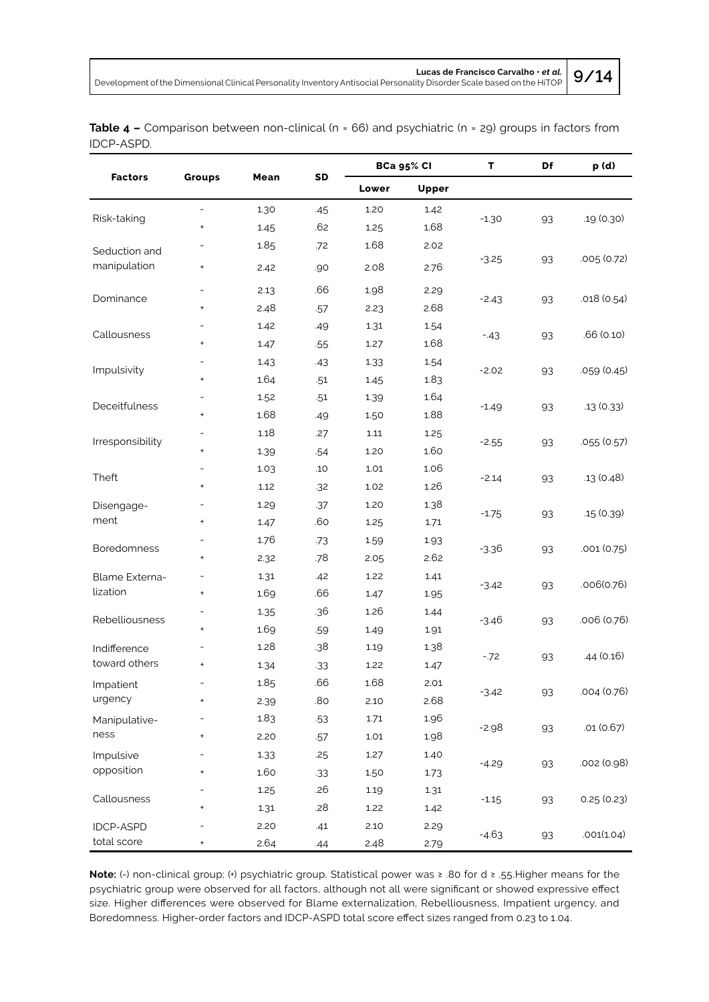Development of the Dimensional Clinical Personality Inventory Antisocial Personality Disorder Scale based on the HiTOP **9/14**

|            | <b>Table 4 –</b> Comparison between non-clinical ( $n = 66$ ) and psychiatric ( $n = 29$ ) groups in factors from |  |  |  |
|------------|-------------------------------------------------------------------------------------------------------------------|--|--|--|
| IDCP-ASPD. |                                                                                                                   |  |  |  |

|                            | <b>Groups</b>                    | Mean | SD    | <b>BCa 95% CI</b> |       | T             | Df | p (d)       |
|----------------------------|----------------------------------|------|-------|-------------------|-------|---------------|----|-------------|
| <b>Factors</b>             |                                  |      |       | Lower             | Upper |               |    |             |
| Risk-taking                | ÷,                               | 1.30 | .45   | 1.20              | 1.42  |               |    |             |
|                            | $\ddot{}$                        | 1.45 | .62   | 1.25              | 1.68  | $-1.30$       | 93 | .19 (0.30)  |
| Seduction and              |                                  | 1.85 | .72   | 1.68              | 2.02  |               |    |             |
| manipulation               | $\pmb{+}$                        | 2.42 | .90   | 2.08              | 2.76  | $-3.25$       | 93 | .005(0.72)  |
|                            | $\overline{\phantom{a}}$         | 2.13 | .66   | 1.98              | 2.29  |               | 93 |             |
| Dominance                  | $\pmb{+}$                        | 2.48 | .57   | 2.23              | 2.68  | $-2.43$       |    | .018 (0.54) |
|                            | $\overline{\phantom{0}}$         | 1.42 | .49   | 1.31              | 1.54  |               |    | .66 (0.10)  |
| Callousness                | $\begin{array}{c} + \end{array}$ | 1.47 | .55   | 1.27              | 1.68  | $-.43$        | 93 |             |
|                            | $\overline{\phantom{0}}$         | 1.43 | .43   | 1.33              | 1.54  |               |    |             |
| Impulsivity                | $\pmb{+}$                        | 1.64 | .51   | 1.45              | 1.83  | $-2.02$       | 93 | .059 (0.45) |
|                            | $\overline{\phantom{0}}$         | 1.52 | .51   | 1.39              | 1.64  |               |    | .13 (0.33)  |
| Deceitfulness              | $\begin{array}{c} + \end{array}$ | 1.68 | .49   | 1.50              | 1.88  | $-1.49$       | 93 |             |
|                            | ÷,                               | 1.18 | .27   | 1.11              | 1.25  |               |    | .055 (0.57) |
| Irresponsibility           | $\begin{array}{c} + \end{array}$ | 1.39 | .54   | 1.20              | 1.60  | $-2.55$       | 93 |             |
|                            |                                  | 1.03 | .10   | 1.01              | 1.06  | $-2.14$       | 93 | .13(0.48)   |
| Theft                      | $\pmb{+}$                        | 1.12 | .32   | 1.02              | 1.26  |               |    |             |
| Disengage-                 | $\overline{\phantom{0}}$         | 1.29 | .37   | 1.20              | 1.38  |               |    |             |
| ment                       | $\pmb{+}$                        | 1.47 | .60   | 1.25              | 1.71  | $-1.75$       | 93 | .15 (0.39)  |
|                            | $\overline{\phantom{0}}$         | 1.76 | .73   | 1.59              | 1.93  | $-3.36$       |    | .001 (0.75) |
| Boredomness                | $\begin{array}{c} + \end{array}$ | 2.32 | .78   | 2.05              | 2.62  |               | 93 |             |
| Blame Externa-<br>lization | -                                | 1.31 | .42   | 1.22              | 1.41  | $-3.42$       |    |             |
|                            | $\pmb{+}$                        | 1.69 | .66   | 1.47              | 1.95  |               | 93 | .006(0.76)  |
|                            | $\overline{\phantom{0}}$         | 1.35 | .36   | 1.26              | 1.44  | $-3.46$       |    | .006 (0.76) |
| Rebelliousness             | $\begin{array}{c} + \end{array}$ | 1.69 | .59   | 1.49              | 1.91  |               | 93 |             |
| Indifference               | $\overline{\phantom{0}}$         | 1.28 | .38   | 1.19              | 1.38  | $-72$         | 93 | .44 (0.16)  |
| toward others              | $\pmb{+}$                        | 1.34 | $-33$ | 1.22              | 1.47  |               |    |             |
| Impatient                  |                                  | 1.85 | .66   | 1.68              | 2.01  | $-3.42$       |    |             |
| urgency                    | $\pmb{+}$                        | 2.39 | .80   | 2.10              | 2.68  |               | 93 | .004 (0.76) |
| Manipulative-              |                                  | 1.83 | .53   | 1.71              | 1.96  | $-2.98$       |    |             |
| ness                       | $\pmb{+}$                        | 2.20 | .57   | $1.01\,$          | 1.98  |               | 93 | .01(0.67)   |
| Impulsive                  |                                  | 1.33 | .25   | 1.27              | 1.40  |               |    |             |
| opposition                 | $\ddot{}$                        | 1.60 | $-33$ | 1.50              | 1.73  | $-4.29$       | 93 | .002 (0.98) |
|                            |                                  | 1.25 | .26   | 1.19              | 1.31  | 93<br>$-1.15$ |    | 0.25(0.23)  |
| Callousness                | $\ddot{}$                        | 1.31 | .28   | 1.22              | 1.42  |               |    |             |
| <b>IDCP-ASPD</b>           |                                  | 2.20 | .41   | 2.10              | 2.29  |               |    |             |
| total score                | $\begin{array}{c} + \end{array}$ | 2.64 | .44   | 2.48              | 2.79  | $-4.63$       | 93 | .001(1.04)  |

**Note:** (-) non-clinical group; (+) psychiatric group. Statistical power was ≥ .80 for d ≥ .55.Higher means for the psychiatric group were observed for all factors, although not all were significant or showed expressive effect size. Higher differences were observed for Blame externalization, Rebelliousness, Impatient urgency, and Boredomness. Higher-order factors and IDCP-ASPD total score effect sizes ranged from 0.23 to 1.04.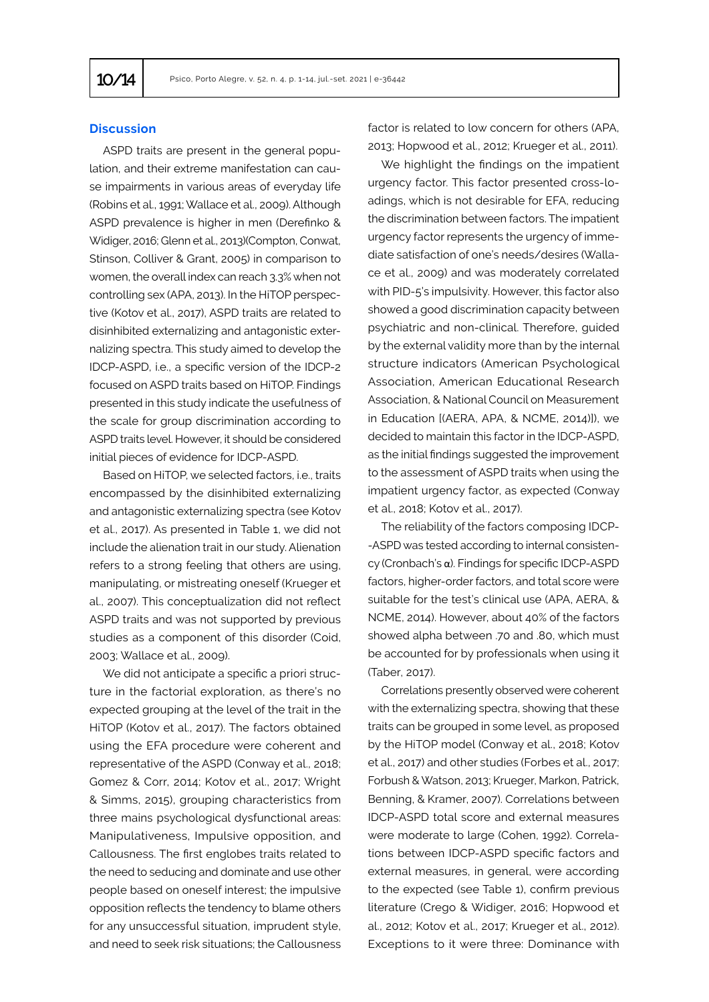## **Discussion**

ASPD traits are present in the general population, and their extreme manifestation can cause impairments in various areas of everyday life (Robins et al., 1991; Wallace et al., 2009). Although ASPD prevalence is higher in men (Derefinko & Widiger, 2016; Glenn et al., 2013)(Compton, Conwat, Stinson, Colliver & Grant, 2005) in comparison to women, the overall index can reach 3.3% when not controlling sex (APA, 2013). In the HiTOP perspective (Kotov et al., 2017), ASPD traits are related to disinhibited externalizing and antagonistic externalizing spectra. This study aimed to develop the IDCP-ASPD, i.e., a specific version of the IDCP-2 focused on ASPD traits based on HiTOP. Findings presented in this study indicate the usefulness of the scale for group discrimination according to ASPD traits level. However, it should be considered initial pieces of evidence for IDCP-ASPD.

Based on HiTOP, we selected factors, i.e., traits encompassed by the disinhibited externalizing and antagonistic externalizing spectra (see Kotov et al., 2017). As presented in Table 1, we did not include the alienation trait in our study. Alienation refers to a strong feeling that others are using, manipulating, or mistreating oneself (Krueger et al., 2007). This conceptualization did not reflect ASPD traits and was not supported by previous studies as a component of this disorder (Coid, 2003; Wallace et al., 2009).

We did not anticipate a specific a priori structure in the factorial exploration, as there's no expected grouping at the level of the trait in the HiTOP (Kotov et al., 2017). The factors obtained using the EFA procedure were coherent and representative of the ASPD (Conway et al., 2018; Gomez & Corr, 2014; Kotov et al., 2017; Wright & Simms, 2015), grouping characteristics from three mains psychological dysfunctional areas: Manipulativeness, Impulsive opposition, and Callousness. The first englobes traits related to the need to seducing and dominate and use other people based on oneself interest; the impulsive opposition reflects the tendency to blame others for any unsuccessful situation, imprudent style, and need to seek risk situations; the Callousness

factor is related to low concern for others (APA, 2013; Hopwood et al., 2012; Krueger et al., 2011).

We highlight the findings on the impatient urgency factor. This factor presented cross-loadings, which is not desirable for EFA, reducing the discrimination between factors. The impatient urgency factor represents the urgency of immediate satisfaction of one's needs/desires (Wallace et al., 2009) and was moderately correlated with PID-5's impulsivity. However, this factor also showed a good discrimination capacity between psychiatric and non-clinical. Therefore, guided by the external validity more than by the internal structure indicators (American Psychological Association, American Educational Research Association, & National Council on Measurement in Education [(AERA, APA, & NCME, 2014)]), we decided to maintain this factor in the IDCP-ASPD, as the initial findings suggested the improvement to the assessment of ASPD traits when using the impatient urgency factor, as expected (Conway et al., 2018; Kotov et al., 2017).

The reliability of the factors composing IDCP- -ASPD was tested according to internal consistency (Cronbach's α). Findings for specific IDCP-ASPD factors, higher-order factors, and total score were suitable for the test's clinical use (APA, AERA, & NCME, 2014). However, about 40% of the factors showed alpha between .70 and .80, which must be accounted for by professionals when using it (Taber, 2017).

Correlations presently observed were coherent with the externalizing spectra, showing that these traits can be grouped in some level, as proposed by the HiTOP model (Conway et al., 2018; Kotov et al., 2017) and other studies (Forbes et al., 2017; Forbush & Watson, 2013; Krueger, Markon, Patrick, Benning, & Kramer, 2007). Correlations between IDCP-ASPD total score and external measures were moderate to large (Cohen, 1992). Correlations between IDCP-ASPD specific factors and external measures, in general, were according to the expected (see Table 1), confirm previous literature (Crego & Widiger, 2016; Hopwood et al., 2012; Kotov et al., 2017; Krueger et al., 2012). Exceptions to it were three: Dominance with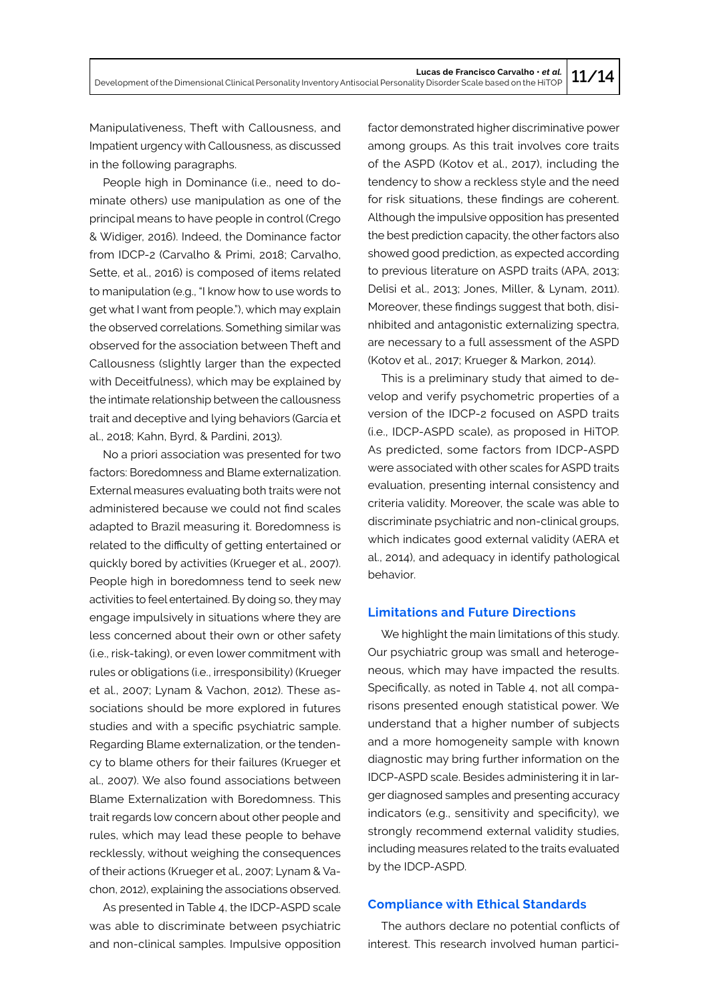Development of the Dimensional Clinical Personality Inventory Antisocial Personality Disorder Scale based on the HiTOP **11/14**

Manipulativeness, Theft with Callousness, and Impatient urgency with Callousness, as discussed in the following paragraphs.

People high in Dominance (i.e., need to dominate others) use manipulation as one of the principal means to have people in control (Crego & Widiger, 2016). Indeed, the Dominance factor from IDCP-2 (Carvalho & Primi, 2018; Carvalho, Sette, et al., 2016) is composed of items related to manipulation (e.g., "I know how to use words to get what I want from people."), which may explain the observed correlations. Something similar was observed for the association between Theft and Callousness (slightly larger than the expected with Deceitfulness), which may be explained by the intimate relationship between the callousness trait and deceptive and lying behaviors (García et al., 2018; Kahn, Byrd, & Pardini, 2013).

No a priori association was presented for two factors: Boredomness and Blame externalization. External measures evaluating both traits were not administered because we could not find scales adapted to Brazil measuring it. Boredomness is related to the difficulty of getting entertained or quickly bored by activities (Krueger et al., 2007). People high in boredomness tend to seek new activities to feel entertained. By doing so, they may engage impulsively in situations where they are less concerned about their own or other safety (i.e., risk-taking), or even lower commitment with rules or obligations (i.e., irresponsibility) (Krueger et al., 2007; Lynam & Vachon, 2012). These associations should be more explored in futures studies and with a specific psychiatric sample. Regarding Blame externalization, or the tendency to blame others for their failures (Krueger et al., 2007). We also found associations between Blame Externalization with Boredomness. This trait regards low concern about other people and rules, which may lead these people to behave recklessly, without weighing the consequences of their actions (Krueger et al., 2007; Lynam & Vachon, 2012), explaining the associations observed.

As presented in Table 4, the IDCP-ASPD scale was able to discriminate between psychiatric and non-clinical samples. Impulsive opposition factor demonstrated higher discriminative power among groups. As this trait involves core traits of the ASPD (Kotov et al., 2017), including the tendency to show a reckless style and the need for risk situations, these findings are coherent. Although the impulsive opposition has presented the best prediction capacity, the other factors also showed good prediction, as expected according to previous literature on ASPD traits (APA, 2013; Delisi et al., 2013; Jones, Miller, & Lynam, 2011). Moreover, these findings suggest that both, disinhibited and antagonistic externalizing spectra, are necessary to a full assessment of the ASPD (Kotov et al., 2017; Krueger & Markon, 2014).

This is a preliminary study that aimed to develop and verify psychometric properties of a version of the IDCP-2 focused on ASPD traits (i.e., IDCP-ASPD scale), as proposed in HiTOP. As predicted, some factors from IDCP-ASPD were associated with other scales for ASPD traits evaluation, presenting internal consistency and criteria validity. Moreover, the scale was able to discriminate psychiatric and non-clinical groups, which indicates good external validity (AERA et al., 2014), and adequacy in identify pathological behavior.

### **Limitations and Future Directions**

We highlight the main limitations of this study. Our psychiatric group was small and heterogeneous, which may have impacted the results. Specifically, as noted in Table 4, not all comparisons presented enough statistical power. We understand that a higher number of subjects and a more homogeneity sample with known diagnostic may bring further information on the IDCP-ASPD scale. Besides administering it in larger diagnosed samples and presenting accuracy indicators (e.g., sensitivity and specificity), we strongly recommend external validity studies, including measures related to the traits evaluated by the IDCP-ASPD.

## **Compliance with Ethical Standards**

The authors declare no potential conflicts of interest. This research involved human partici-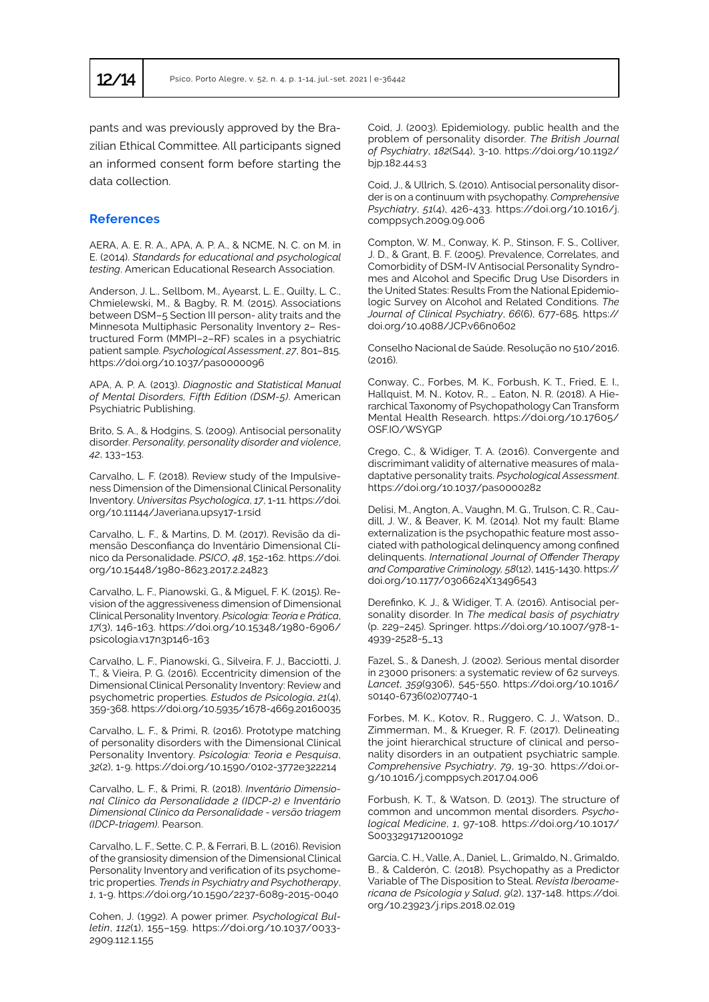pants and was previously approved by the Brazilian Ethical Committee. All participants signed an informed consent form before starting the data collection.

## **References**

AERA, A. E. R. A., APA, A. P. A., & NCME, N. C. on M. in E. (2014). *Standards for educational and psychological testing*. American Educational Research Association.

Anderson, J. L., Sellbom, M., Ayearst, L. E., Quilty, L. C., Chmielewski, M., & Bagby, R. M. (2015). Associations between DSM–5 Section III person- ality traits and the Minnesota Multiphasic Personality Inventory 2– Restructured Form (MMPI–2–RF) scales in a psychiatric patient sample. *Psychological Assessment*, *27*, 801–815. https://doi.org/10.1037/pas0000096

APA, A. P. A. (2013). *Diagnostic and Statistical Manual of Mental Disorders, Fifth Edition (DSM-5)*. American Psychiatric Publishing.

Brito, S. A., & Hodgins, S. (2009). Antisocial personality disorder. *Personality, personality disorder and violence*, *42*, 133–153.

Carvalho, L. F. (2018). Review study of the Impulsiveness Dimension of the Dimensional Clinical Personality Inventory. *Universitas Psychologica*, *17*, 1-11. https://doi. org/10.11144/Javeriana.upsy17-1.rsid

Carvalho, L. F., & Martins, D. M. (2017). Revisão da dimensão Desconfiança do Inventário Dimensional Clínico da Personalidade. *PSICO*, *48*, 152-162. https://doi. org/10.15448/1980-8623.2017.2.24823

Carvalho, L. F., Pianowski, G., & Miguel, F. K. (2015). Revision of the aggressiveness dimension of Dimensional Clinical Personality Inventory. *Psicologia: Teoria e Prática*, *17*(3), 146-163. https://doi.org/10.15348/1980-6906/ psicologia.v17n3p146-163

Carvalho, L. F., Pianowski, G., Silveira, F. J., Bacciotti, J. T., & Vieira, P. G. (2016). Eccentricity dimension of the Dimensional Clinical Personality Inventory: Review and psychometric properties. *Estudos de Psicologia*, *21*(4), 359-368. https://doi.org/10.5935/1678-4669.20160035

Carvalho, L. F., & Primi, R. (2016). Prototype matching of personality disorders with the Dimensional Clinical Personality Inventory. *Psicologia: Teoria e Pesquisa*, *32*(2), 1-9. https://doi.org/10.1590/0102-3772e322214

Carvalho, L. F., & Primi, R. (2018). *Inventário Dimensional Clínico da Personalidade 2 (IDCP-2) e Inventário Dimensional Clínico da Personalidade - versão triagem (IDCP-triagem)*. Pearson.

Carvalho, L. F., Sette, C. P., & Ferrari, B. L. (2016). Revision of the gransiosity dimension of the Dimensional Clinical Personality Inventory and verification of its psychometric properties. *Trends in Psychiatry and Psychotherapy*, *1*, 1-9. https://doi.org/10.1590/2237-6089-2015-0040

Cohen, J. (1992). A power primer. *Psychological Bulletin*, *112*(1), 155–159. https://doi.org/10.1037/0033- 2909.112.1.155

Coid, J. (2003). Epidemiology, public health and the problem of personality disorder. *The British Journal of Psychiatry*, *182*(S44), 3-10. https://doi.org/10.1192/ bjp.182.44.s3

Coid, J., & Ullrich, S. (2010). Antisocial personality disorder is on a continuum with psychopathy. *Comprehensive Psychiatry*, *51*(4), 426-433. https://doi.org/10.1016/j. comppsych.2009.09.006

Compton, W. M., Conway, K. P., Stinson, F. S., Colliver, J. D., & Grant, B. F. (2005). Prevalence, Correlates, and Comorbidity of DSM-IV Antisocial Personality Syndromes and Alcohol and Specific Drug Use Disorders in the United States: Results From the National Epidemiologic Survey on Alcohol and Related Conditions. *The Journal of Clinical Psychiatry*, *66*(6), 677-685. https:// doi.org/10.4088/JCP.v66n0602

Conselho Nacional de Saúde. Resolução no 510/2016. (2016).

Conway, C., Forbes, M. K., Forbush, K. T., Fried, E. I., Hallquist, M. N., Kotov, R., … Eaton, N. R. (2018). A Hierarchical Taxonomy of Psychopathology Can Transform Mental Health Research. https://doi.org/10.17605/ OSF.IO/WSYGP

Crego, C., & Widiger, T. A. (2016). Convergente and discrimimant validity of alternative measures of maladaptative personality traits. *Psychological Assessment*. https://doi.org/10.1037/pas0000282

Delisi, M., Angton, A., Vaughn, M. G., Trulson, C. R., Caudill, J. W., & Beaver, K. M. (2014). Not my fault: Blame externalization is the psychopathic feature most associated with pathological delinquency among confined delinquents. *International Journal of Offender Therapy and Comparative Criminology, 58*(12), 1415-1430. https:// doi.org/10.1177/0306624X13496543

Derefinko, K. J., & Widiger, T. A. (2016). Antisocial personality disorder. In *The medical basis of psychiatry* (p. 229–245). Springer. https://doi.org/10.1007/978-1- 4939-2528-5\_13

Fazel, S., & Danesh, J. (2002). Serious mental disorder in 23000 prisoners: a systematic review of 62 surveys. *Lancet*, *359*(9306), 545-550. https://doi.org/10.1016/ s0140-6736(02)07740-1

Forbes, M. K., Kotov, R., Ruggero, C. J., Watson, D., Zimmerman, M., & Krueger, R. F. (2017). Delineating the joint hierarchical structure of clinical and personality disorders in an outpatient psychiatric sample. *Comprehensive Psychiatry*, *79*, 19-30. https://doi.org/10.1016/j.comppsych.2017.04.006

Forbush, K. T., & Watson, D. (2013). The structure of common and uncommon mental disorders. *Psychological Medicine*, *1*, 97-108. https://doi.org/10.1017/ S0033291712001092

García, C. H., Valle, A., Daniel, L., Grimaldo, N., Grimaldo, B., & Calderón, C. (2018). Psychopathy as a Predictor Variable of The Disposition to Steal. *Revista Iberoamericana de Psicología y Salud*, *9*(2), 137-148. https://doi. org/10.23923/j.rips.2018.02.019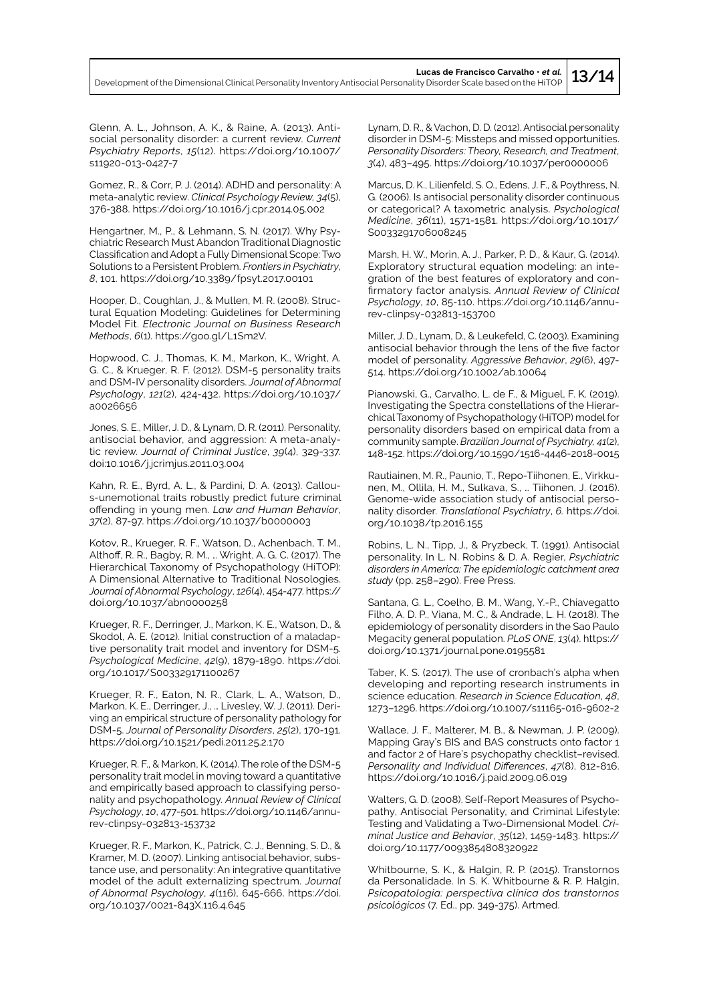Development of the Dimensional Clinical Personality Inventory Antisocial Personality Disorder Scale based on the HiTOP **13/14**

Glenn, A. L., Johnson, A. K., & Raine, A. (2013). Antisocial personality disorder: a current review. *Current Psychiatry Reports*, *15*(12). https://doi.org/10.1007/ s11920-013-0427-7

Gomez, R., & Corr, P. J. (2014). ADHD and personality: A meta-analytic review. *Clinical Psychology Review, 34*(5), 376-388. https://doi.org/10.1016/j.cpr.2014.05.002

Hengartner, M., P., & Lehmann, S. N. (2017). Why Psychiatric Research Must Abandon Traditional Diagnostic Classification and Adopt a Fully Dimensional Scope: Two Solutions to a Persistent Problem. *Frontiers in Psychiatry*, *8*, 101. https://doi.org/10.3389/fpsyt.2017.00101

Hooper, D., Coughlan, J., & Mullen, M. R. (2008). Structural Equation Modeling: Guidelines for Determining Model Fit. *Electronic Journal on Business Research Methods*, *6*(1). https://goo.gl/L1Sm2V.

Hopwood, C. J., Thomas, K. M., Markon, K., Wright, A. G. C., & Krueger, R. F. (2012). DSM-5 personality traits and DSM-IV personality disorders. *Journal of Abnormal Psychology*, *121*(2), 424-432. https://doi.org/10.1037/ a0026656

Jones, S. E., Miller, J. D., & Lynam, D. R. (2011). Personality, antisocial behavior, and aggression: A meta-analytic review. *Journal of Criminal Justice*, *39*(4), 329-337. doi:10.1016/j.jcrimjus.2011.03.004

Kahn, R. E., Byrd, A. L., & Pardini, D. A. (2013). Callous-unemotional traits robustly predict future criminal offending in young men. *Law and Human Behavior*, *37*(2), 87-97. https://doi.org/10.1037/b0000003

Kotov, R., Krueger, R. F., Watson, D., Achenbach, T. M., Althoff, R. R., Bagby, R. M., … Wright, A. G. C. (2017). The Hierarchical Taxonomy of Psychopathology (HiTOP): A Dimensional Alternative to Traditional Nosologies. *Journal of Abnormal Psychology*, *126*(4), 454-477. https:// doi.org/10.1037/abn0000258

Krueger, R. F., Derringer, J., Markon, K. E., Watson, D., & Skodol, A. E. (2012). Initial construction of a maladaptive personality trait model and inventory for DSM-5. *Psychological Medicine*, *42*(9), 1879-1890. https://doi. org/10.1017/S003329171100267

Krueger, R. F., Eaton, N. R., Clark, L. A., Watson, D., Markon, K. E., Derringer, J., … Livesley, W. J. (2011). Deriving an empirical structure of personality pathology for DSM-5. *Journal of Personality Disorders*, *25*(2), 170-191. https://doi.org/10.1521/pedi.2011.25.2.170

Krueger, R. F., & Markon, K. (2014). The role of the DSM-5 personality trait model in moving toward a quantitative and empirically based approach to classifying personality and psychopathology. *Annual Review of Clinical Psychology*, *10*, 477-501. https://doi.org/10.1146/annurev-clinpsy-032813-153732

Krueger, R. F., Markon, K., Patrick, C. J., Benning, S. D., & Kramer, M. D. (2007). Linking antisocial behavior, substance use, and personality: An integrative quantitative model of the adult externalizing spectrum. *Journal of Abnormal Psychology*, *4*(116), 645-666. https://doi. org/10.1037/0021-843X.116.4.645

Lynam, D. R., & Vachon, D. D. (2012). Antisocial personality disorder in DSM-5: Missteps and missed opportunities. *Personality Disorders: Theory, Research, and Treatment*, *3*(4), 483–495. https://doi.org/10.1037/per0000006

Marcus, D. K., Lilienfeld, S. O., Edens, J. F., & Poythress, N. G. (2006). Is antisocial personality disorder continuous or categorical? A taxometric analysis. *Psychological Medicine*, *36*(11), 1571-1581. https://doi.org/10.1017/ S0033291706008245

Marsh, H. W., Morin, A. J., Parker, P. D., & Kaur, G. (2014). Exploratory structural equation modeling: an integration of the best features of exploratory and confirmatory factor analysis. *Annual Review of Clinical Psychology*, *10*, 85-110. https://doi.org/10.1146/annurev-clinpsy-032813-153700

Miller, J. D., Lynam, D., & Leukefeld, C. (2003). Examining antisocial behavior through the lens of the five factor model of personality. *Aggressive Behavior*, *29*(6), 497- 514. https://doi.org/10.1002/ab.10064

Pianowski, G., Carvalho, L. de F., & Miguel, F. K. (2019). Investigating the Spectra constellations of the Hierarchical Taxonomy of Psychopathology (HiTOP) model for personality disorders based on empirical data from a community sample. *Brazilian Journal of Psychiatry, 41*(2), 148-152. https://doi.org/10.1590/1516-4446-2018-0015

Rautiainen, M. R., Paunio, T., Repo-Tiihonen, E., Virkkunen, M., Ollila, H. M., Sulkava, S., … Tiihonen, J. (2016). Genome-wide association study of antisocial personality disorder. *Translational Psychiatry*, *6.* https://doi. org/10.1038/tp.2016.155

Robins, L. N., Tipp, J., & Pryzbeck, T. (1991). Antisocial personality. In L. N. Robins & D. A. Regier, *Psychiatric disorders in America: The epidemiologic catchment area study* (pp. 258–290). Free Press.

Santana, G. L., Coelho, B. M., Wang, Y.-P., Chiavegatto Filho, A. D. P., Viana, M. C., & Andrade, L. H. (2018). The epidemiology of personality disorders in the Sao Paulo Megacity general population. *PLoS ONE*, *13*(4). https:// doi.org/10.1371/journal.pone.0195581

Taber, K. S. (2017). The use of cronbach's alpha when developing and reporting research instruments in science education. *Research in Science Education*, *48*, 1273–1296. https://doi.org/10.1007/s11165-016-9602-2

Wallace, J. F., Malterer, M. B., & Newman, J. P. (2009). Mapping Gray's BIS and BAS constructs onto factor 1 and factor 2 of Hare's psychopathy checklist–revised. *Personality and Individual Differences*, *47*(8), 812-816. https://doi.org/10.1016/j.paid.2009.06.019

Walters, G. D. (2008). Self-Report Measures of Psychopathy, Antisocial Personality, and Criminal Lifestyle: Testing and Validating a Two-Dimensional Model. *Criminal Justice and Behavior*, *35*(12), 1459-1483. https:// doi.org/10.1177/0093854808320922

Whitbourne, S. K., & Halgin, R. P. (2015). Transtornos da Personalidade. In S. K. Whitbourne & R. P. Halgin, *Psicopatologia: perspectiva clínica dos transtornos psicológicos* (7. Ed., pp. 349-375). Artmed.